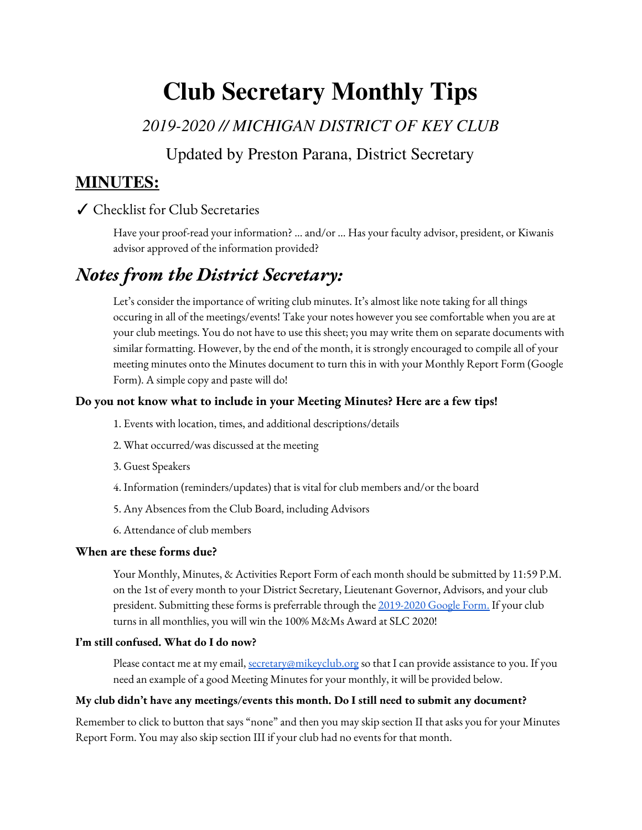# **Club Secretary Monthly Tips**

*2019-2020 // MICHIGAN DISTRICT OF KEY CLUB*

Updated by Preston Parana, District Secretary

### **MINUTES:**

### ✓ Checklist for Club Secretaries

Have your proof-read your information? … and/or … Has your faculty advisor, president, or Kiwanis advisor approved of the information provided?

## *Notes from the District Secretary:*

Let's consider the importance of writing club minutes. It's almost like note taking for all things occuring in all of the meetings/events! Take your notes however you see comfortable when you are at your club meetings. You do not have to use this sheet; you may write them on separate documents with similar formatting. However, by the end of the month, it is strongly encouraged to compile all of your meeting minutes onto the Minutes document to turn this in with your Monthly Report Form (Google Form). A simple copy and paste will do!

#### **Do you not know what to include in your Meeting Minutes? Here are a few tips!**

- 1. Events with location, times, and additional descriptions/details
- 2. What occurred/was discussed at the meeting
- 3. Guest Speakers
- 4. Information (reminders/updates) that is vital for club members and/or the board
- 5. Any Absences from the Club Board, including Advisors
- 6. Attendance of club members

#### **When are these forms due?**

Your Monthly, Minutes, & Activities Report Form of each month should be submitted by 11:59 P.M. on the 1st of every month to your District Secretary, Lieutenant Governor, Advisors, and your club president. Submitting these forms is preferrable through the [2019-2020](https://docs.google.com/forms/d/1hIxCoHIMCjrruKRh1bBme3XT3-93E0v3a4FpuN6l7O8/edit) Google Form. If your club turns in all monthlies, you will win the 100% M&Ms Award at SLC 2020!

#### **I'm still confused. What do I do now?**

Please contact me at my email, [secretary@mikeyclub.org](mailto:secretary@mikeyclub.org) so that I can provide assistance to you. If you need an example of a good Meeting Minutes for your monthly, it will be provided below.

#### **My club didn't have any meetings/events this month. Do I still need to submit any document?**

Remember to click to button that says "none" and then you may skip section II that asks you for your Minutes Report Form. You may also skip section III if your club had no events for that month.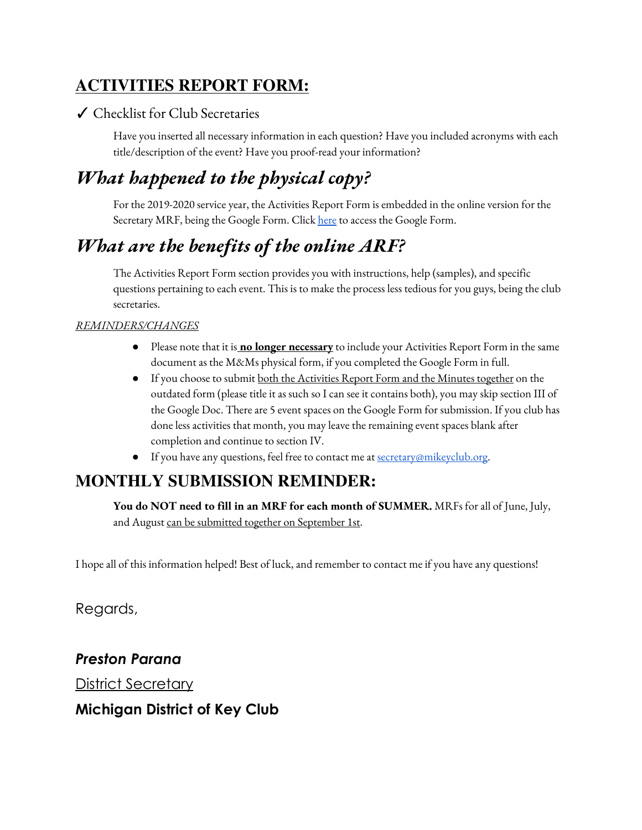## **ACTIVITIES REPORT FORM:**

### ✓ Checklist for Club Secretaries

Have you inserted all necessary information in each question? Have you included acronyms with each title/description of the event? Have you proof-read your information?

## *What happened to the physical copy?*

For the 2019-2020 service year, the Activities Report Form is embedded in the online version for the Secretary MRF, being the Google Form. Click [here](https://docs.google.com/forms/d/1hIxCoHIMCjrruKRh1bBme3XT3-93E0v3a4FpuN6l7O8/edit) to access the Google Form.

## *What are the benefits of the online ARF?*

The Activities Report Form section provides you with instructions, help (samples), and specific questions pertaining to each event. This is to make the process less tedious for you guys, being the club secretaries.

### *REMINDERS/CHANGES*

- Please note that it is **no longer necessary** to include your Activities Report Form in the same document as the M&Ms physical form, if you completed the Google Form in full.
- **•** If you choose to submit <u>both the Activities Report Form and the Minutes together</u> on the outdated form (please title it as such so I can see it contains both), you may skip section III of the Google Doc. There are 5 event spaces on the Google Form for submission. If you club has done less activities that month, you may leave the remaining event spaces blank after completion and continue to section IV.
- **•** If you have any questions, feel free to contact me at [secretary@mikeyclub.org](mailto:secretary@mikeyclub.org).

## **MONTHLY SUBMISSION REMINDER:**

**You do NOT need to fill in an MRF for each month of SUMMER.** MRFs for all of June, July, and August can be submitted together on September 1st.

I hope all of this information helped! Best of luck, and remember to contact me if you have any questions!

Regards,

*Preston Parana*

**District Secretary** 

### **Michigan District of Key Club**